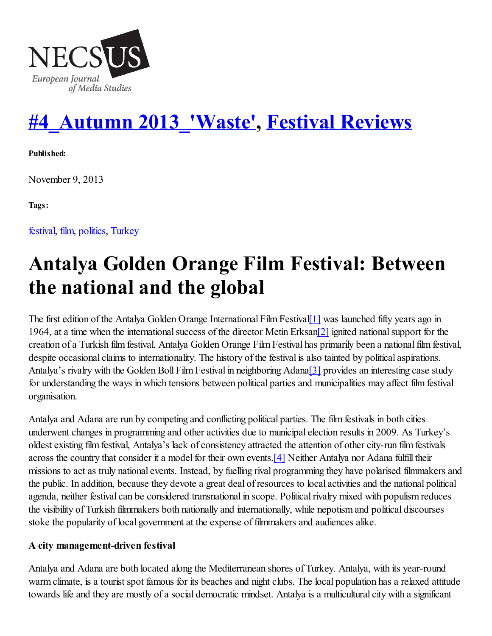

# #4\_Autumn [2013\\_'Waste'](http://www.necsus-ejms.org/category/autumn-2013/) , Festival [Reviews](http://www.necsus-ejms.org/category/reviews/festivalreviews/)

Published:

November 9, 2013

Tags:

[festival](http://www.necsus-ejms.org/tag/festival/), [film](http://www.necsus-ejms.org/tag/film/), [politics,](http://www.necsus-ejms.org/tag/politics/) [Turkey](http://www.necsus-ejms.org/tag/turkey/)

# Antalya Golden Orange Film Festival: Between the national and the global

The first edition of the Antalya Golden Orange International Film Festival [1] was launched fifty years ago in 1964, at a time when the international success of the director Metin Erksan<sup>[2]</sup> ignited national support for the creation of a Turkish film festival. Antalya Golden Orange Film Festival has primarily been a nationalfilm festival, despite occasional claims to internationality. The history of the festival is also tainted by political aspirations. Antalya's rivalry with the Golden Boll Film Festival in neighboring Adana[3] provides an interesting case study for understanding the ways in which tensions between political parties and municipalities may affect film festival organisation.

Antalya and Adana are run by competing and conflicting political parties. The film festivals in both cities underwent changes in programming and other activities due to municipal election results in 2009. As Turkey's oldest existing film festival, Antalya's lack of consistency attracted the attention of other city-run film festivals across the country that consider it a model for their own events.<sup>[4]</sup> Neither Antalya nor Adana fulfill their missions to act as truly national events. Instead, by fuelling rival programming they have polarised filmmakers and the public. In addition, because they devote a great deal of resources to local activities and the national political agenda, neither festival can be considered transnational in scope. Political rivalry mixed with populism reduces the visibility of Turkish filmmakers both nationally and internationally, while nepotism and political discourses stoke the popularity of local government at the expense of filmmakers and audiences alike.

### A city management-driven festival

Antalya and Adana are both located along the Mediterranean shores of Turkey. Antalya, with its year-round warm climate, is a tourist spot famous for its beaches and night clubs. The local population has a relaxed attitude towards life and they are mostly of a social democratic mindset. Antalya is a multicultural city with a significant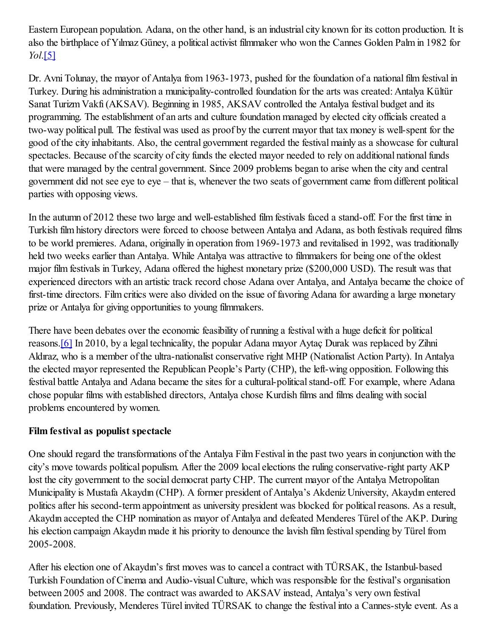Eastern European population. Adana, on the other hand, is an industrial city known for its cotton production. It is also the birthplace of Yılmaz Güney, a political activist filmmaker who won the Cannes Golden Palm in 1982 for *Yol*.[5]

Dr. Avni Tolunay, the mayor of Antalya from 1963-1973, pushed for the foundation of a national film festival in Turkey. During his administration a municipality-controlled foundation for the arts was created: Antalya Kültür Sanat Turizm Vakfı(AKSAV). Beginning in 1985, AKSAV controlled the Antalya festival budget and its programming. The establishment of an arts and culture foundation managed by elected city officials created a two-way political pull. The festival was used as proof by the current mayor that tax money is well-spent for the good of the city inhabitants. Also, the central government regarded the festival mainly as a showcase for cultural spectacles. Because of the scarcity of city funds the elected mayor needed to rely on additional national funds that were managed by the central government. Since 2009 problems began to arise when the city and central government did not see eye to eye – that is, whenever the two seats of government came from different political parties with opposing views.

In the autumn of 2012 these two large and well-established film festivals faced a stand-off. For the first time in Turkish film history directors were forced to choose between Antalya and Adana, as both festivals required films to be world premieres. Adana, originally in operation from 1969-1973 and revitalised in 1992, was traditionally held two weeks earlier than Antalya. While Antalya was attractive to filmmakers for being one of the oldest major film festivals in Turkey, Adana offered the highest monetary prize (\$200,000 USD). The result was that experienced directors with an artistic track record chose Adana over Antalya, and Antalya became the choice of first-time directors. Film critics were also divided on the issue of favoring Adana for awarding a large monetary prize or Antalya for giving opportunities to young filmmakers.

There have been debates over the economic feasibility of running a festival with a huge deficit for political reasons.[6] In 2010, by a legal technicality, the popular Adana mayor Aytaç Durak was replaced by Zihni Aldıraz, who is a member of the ultra-nationalist conservative right MHP (Nationalist Action Party). In Antalya the elected mayor represented the Republican People's Party (CHP), the left-wing opposition. Following this festival battle Antalya and Adana became the sites for a cultural-political stand-off. For example, where Adana chose popular films with established directors, Antalya chose Kurdish films and films dealing with social problems encountered by women.

## Film festival as populist spectacle

One should regard the transformations of the Antalya Film Festival in the past two years in conjunction with the city's move towards political populism. After the 2009 local elections the ruling conservative-right party AKP lost the city government to the social democrat party CHP. The current mayor of the Antalya Metropolitan Municipality is Mustafa Akaydın (CHP). A former president of Antalya's Akdeniz University, Akaydın entered politics after his second-term appointment as university president was blocked for political reasons. As a result, Akaydın accepted the CHP nomination as mayor of Antalya and defeated Menderes Türel of the AKP. During his election campaign Akaydın made it his priority to denounce the lavish film festival spending by Türel from 2005-2008.

After his election one of Akaydın's first moves was to cancel a contract with TÜRSAK, the Istanbul-based Turkish Foundation of Cinema and Audio-visualCulture, which was responsible for the festival's organisation between 2005 and 2008. The contract was awarded to AKSAV instead, Antalya's very own festival foundation. Previously, Menderes Türel invited TÜRSAK to change the festival into a Cannes-style event. As a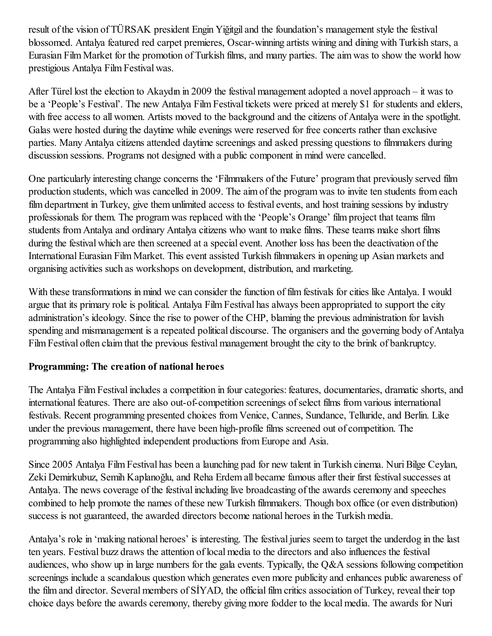result of the vision of TÜRSAK president Engin Yiğitgil and the foundation's management style the festival blossomed. Antalya featured red carpet premieres, Oscar-winning artists wining and dining with Turkish stars, a Eurasian Film Market for the promotion of Turkish films, and many parties. The aim was to show the world how prestigious Antalya Film Festival was.

After Türel lost the election to Akaydın in 2009 the festival management adopted a novel approach – it was to be a 'People's Festival'. The new Antalya Film Festival tickets were priced at merely \$1 for students and elders, with free access to all women. Artists moved to the background and the citizens of Antalya were in the spotlight. Galas were hosted during the daytime while evenings were reserved for free concerts rather than exclusive parties. Many Antalya citizens attended daytime screenings and asked pressing questions to filmmakers during discussion sessions. Programs not designed with a public component in mind were cancelled.

One particularly interesting change concerns the 'Filmmakers of the Future' program that previously served film production students, which was cancelled in 2009. The aim of the program was to invite ten students from each film department in Turkey, give them unlimited access to festival events, and host training sessions by industry professionals for them. The program was replaced with the 'People's Orange' film project that teams film students from Antalya and ordinary Antalya citizens who want to make films. These teams make short films during the festival which are then screened at a special event. Another loss has been the deactivation of the International Eurasian Film Market. This event assisted Turkish filmmakers in opening up Asian markets and organising activities such as workshops on development, distribution, and marketing.

With these transformations in mind we can consider the function of film festivals for cities like Antalya. I would argue that its primary role is political. Antalya Film Festival has always been appropriated to support the city administration's ideology. Since the rise to power of the CHP, blaming the previous administration for lavish spending and mismanagement is a repeated political discourse. The organisers and the governing body of Antalya Film Festival often claim that the previous festival management brought the city to the brink of bankruptcy.

## Programming: The creation of national heroes

The Antalya Film Festival includes a competition in four categories: features, documentaries, dramatic shorts, and international features. There are also out-of-competition screenings of select films from various international festivals. Recent programming presented choices from Venice, Cannes, Sundance, Telluride, and Berlin. Like under the previous management, there have been high-profile films screened out of competition. The programming also highlighted independent productions from Europe and Asia.

Since 2005 Antalya Film Festival has been a launching pad for new talent in Turkish cinema. Nuri Bilge Ceylan, Zeki Demirkubuz, Semih Kaplanoğlu, and Reha Erdem all became famous after their first festival successes at Antalya. The news coverage of the festival including live broadcasting of the awards ceremony and speeches combined to help promote the names of these new Turkish filmmakers. Though box office (or even distribution) success is not guaranteed, the awarded directors become national heroes in the Turkish media.

Antalya's role in 'making national heroes' is interesting. The festival juries seem to target the underdog in the last ten years. Festival buzz draws the attention of local media to the directors and also influences the festival audiences, who show up in large numbers for the gala events. Typically, the Q&A sessions following competition screenings include a scandalous question which generates even more publicity and enhances public awareness of the film and director. Several members of SIYAD, the official film critics association of Turkey, reveal their top choice days before the awards ceremony, thereby giving more fodder to the local media. The awards for Nuri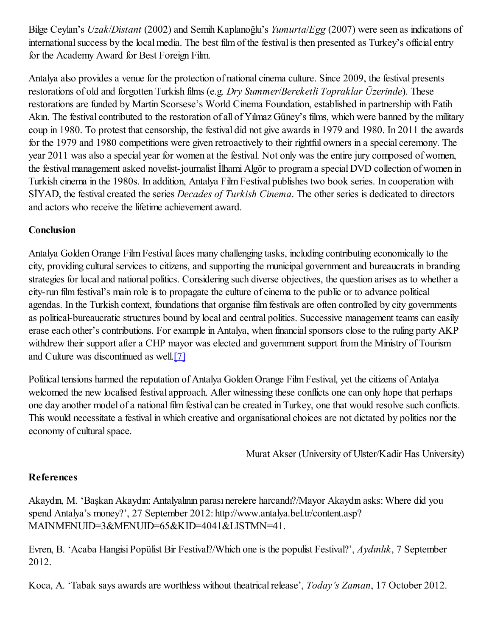Bilge Ceylan's *Uzak*/*Distant* (2002) and Semih Kaplanoğlu's *Yumurta*/*Egg* (2007) were seen as indications of international success by the local media. The best film of the festival is then presented as Turkey's official entry for the Academy Award for Best Foreign Film.

Antalya also provides a venue for the protection of national cinema culture. Since 2009, the festival presents restorations of old and forgotten Turkish films (e.g. *Dry Summer*/*Bereketli Topraklar Üzerinde*). These restorations are funded by Martin Scorsese's World Cinema Foundation, established in partnership with Fatih Akın. The festival contributed to the restoration of all of Yılmaz Güney's films, which were banned by the military coup in 1980. To protest that censorship, the festival did not give awards in 1979 and 1980. In 2011 the awards for the 1979 and 1980 competitions were given retroactively to their rightful owners in a special ceremony. The year 2011 was also a special year for women at the festival. Not only was the entire jury composed of women, the festival management asked novelist-journalist İlhami Algör to program a special DVD collection of women in Turkish cinema in the 1980s. In addition, Antalya Film Festival publishes two book series. In cooperation with SİYAD, the festival created the series *Decades of Turkish Cinema*. The other series is dedicated to directors and actors who receive the lifetime achievement award.

## Conclusion

Antalya Golden Orange Film Festival faces many challenging tasks, including contributing economically to the city, providing cultural services to citizens, and supporting the municipal government and bureaucrats in branding strategies for local and national politics. Considering such diverse objectives, the question arises as to whether a city-run film festival's main role is to propagate the culture of cinema to the public or to advance political agendas. In the Turkish context, foundations that organise film festivals are often controlled by city governments as political-bureaucratic structures bound by local and central politics. Successive management teams can easily erase each other's contributions. For example in Antalya, when financial sponsors close to the ruling party AKP withdrew their support after a CHP mayor was elected and government support from the Ministry of Tourism and Culture was discontinued as well.[7]

Political tensions harmed the reputation of Antalya Golden Orange Film Festival, yet the citizens of Antalya welcomed the new localised festival approach. After witnessing these conflicts one can only hope that perhaps one day another model of a national film festival can be created in Turkey, one that would resolve such conflicts. This would necessitate a festival in which creative and organisational choices are not dictated by politics nor the economy of cultural space.

Murat Akser (University of Ulster/Kadir Has University)

## References

Akaydın, M. 'Başkan Akaydın: Antalyalının parası nerelere harcandı?/Mayor Akaydın asks: Where did you spend Antalya's money?', 27 September 2012: http://www.antalya.bel.tr/content.asp? MAINMENUID=3&MENUID=65&KID=4041&LISTMN=41.

Evren, B. 'Acaba Hangisi Popülist Bir Festival?/Which one is the populist Festival?', *Aydınlık*, 7 September 2012.

Koca, A. 'Tabak says awards are worthless without theatricalrelease', *Today's Zaman*, 17 October 2012.